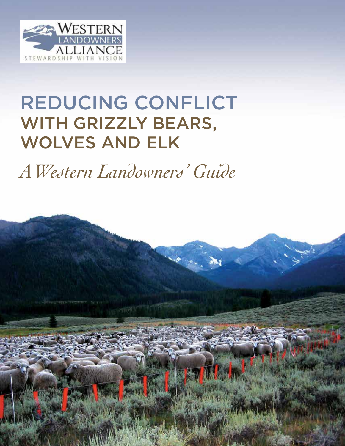

## REducing Conflict with Grizzly Bears, Wolves and Elk

*A Western Landowners' Guide*

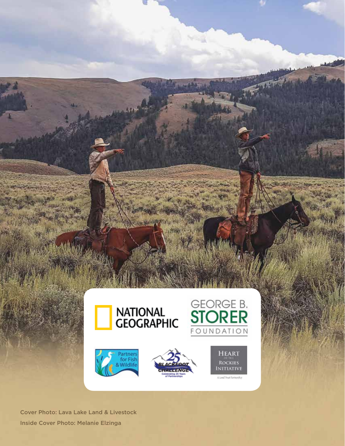



**MARKET** 







Inside Cover Photo: Melanie Elzinga Cover Photo: Lava Lake Land & Livestock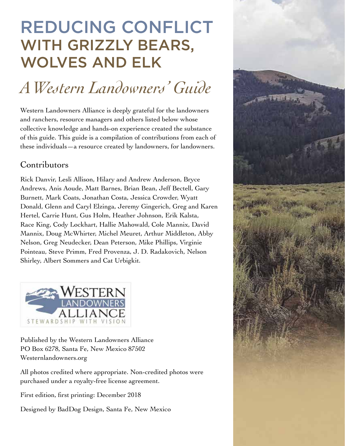### REducing Conflict with Grizzly Bears, Wolves and Elk

## *A Western Landowners' Guide*

Western Landowners Alliance is deeply grateful for the landowners and ranchers, resource managers and others listed below whose collective knowledge and hands-on experience created the substance of this guide. This guide is a compilation of contributions from each of these individuals—a resource created by landowners, for landowners.

### Contributors

Rick Danvir, Lesli Allison, Hilary and Andrew Anderson, Bryce Andrews, Anis Aoude, Matt Barnes, Brian Bean, Jeff Bectell, Gary Burnett, Mark Coats, Jonathan Costa, Jessica Crowder, Wyatt Donald, Glenn and Caryl Elzinga, Jeremy Gingerich, Greg and Karen Hertel, Carrie Hunt, Gus Holm, Heather Johnson, Erik Kalsta, Race King, Cody Lockhart, Hallie Mahowald, Cole Mannix, David Mannix, Doug McWhirter, Michel Meuret, Arthur Middleton, Abby Nelson, Greg Neudecker, Dean Peterson, Mike Phillips, Virginie Pointeau, Steve Primm, Fred Provenza, J. D. Radakovich, Nelson Shirley, Albert Sommers and Cat Urbigkit.



Published by the Western Landowners Alliance PO Box 6278, Santa Fe, New Mexico 87502 Westernlandowners.org

All photos credited where appropriate. Non-credited photos were purchased under a royalty-free license agreement.

First edition, first printing: December 2018

Designed by BadDog Design, Santa Fe, New Mexico

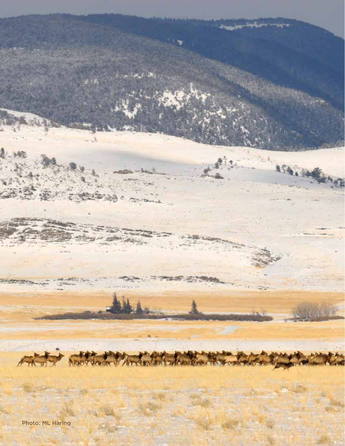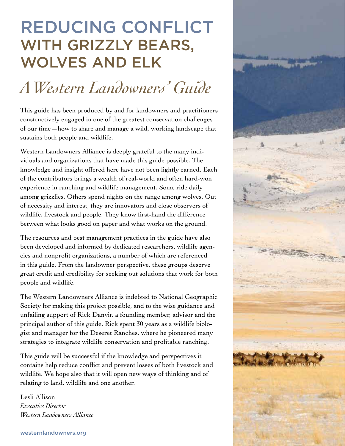### REducing Conflict with Grizzly Bears, Wolves and Elk

## *A Western Landowners' Guide*

This guide has been produced by and for landowners and practitioners constructively engaged in one of the greatest conservation challenges of our time—how to share and manage a wild, working landscape that sustains both people and wildlife.

Western Landowners Alliance is deeply grateful to the many individuals and organizations that have made this guide possible. The knowledge and insight offered here have not been lightly earned. Each of the contributors brings a wealth of real-world and often hard-won experience in ranching and wildlife management. Some ride daily among grizzlies. Others spend nights on the range among wolves. Out of necessity and interest, they are innovators and close observers of wildlife, livestock and people. They know first-hand the difference between what looks good on paper and what works on the ground.

The resources and best management practices in the guide have also been developed and informed by dedicated researchers, wildlife agencies and nonprofit organizations, a number of which are referenced in this guide. From the landowner perspective, these groups deserve great credit and credibility for seeking out solutions that work for both people and wildlife.

The Western Landowners Alliance is indebted to National Geographic Society for making this project possible, and to the wise guidance and unfailing support of Rick Danvir, a founding member, advisor and the principal author of this guide. Rick spent 30 years as a wildlife biologist and manager for the Deseret Ranches, where he pioneered many strategies to integrate wildlife conservation and profitable ranching.

This guide will be successful if the knowledge and perspectives it contains help reduce conflict and prevent losses of both livestock and wildlife. We hope also that it will open new ways of thinking and of relating to land, wildlife and one another.

Lesli Allison *Executive Director Western Landowners Alliance*

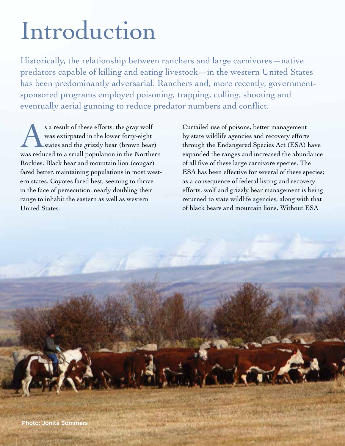# Introduction

Historically, the relationship between ranchers and large carnivores—native predators capable of killing and eating livestock—in the western United States has been predominantly adversarial. Ranchers and, more recently, governmentsponsored programs employed poisoning, trapping, culling, shooting and eventually aerial gunning to reduce predator numbers and conflict.

6 Western Landowners Alliance

s a result of these efforts, the gray wolf<br>was extirpated in the lower forty-eight<br>states and the grizzly bear (brown bear was extirpated in the lower forty-eight states and the grizzly bear (brown bear) was reduced to a small population in the Northern Rockies. Black bear and mountain lion (cougar) fared better, maintaining populations in most western states. Coyotes fared best, seeming to thrive in the face of persecution, nearly doubling their range to inhabit the eastern as well as western United States.

Curtailed use of poisons, better management by state wildlife agencies and recovery efforts through the Endangered Species Act (ESA) have expanded the ranges and increased the abundance of all five of these large carnivore species. The ESA has been effective for several of these species; as a consequence of federal listing and recovery efforts, wolf and grizzly bear management is being returned to state wildlife agencies, along with that of black bears and mountain lions. Without ESA

**CLEARANT WITH AR**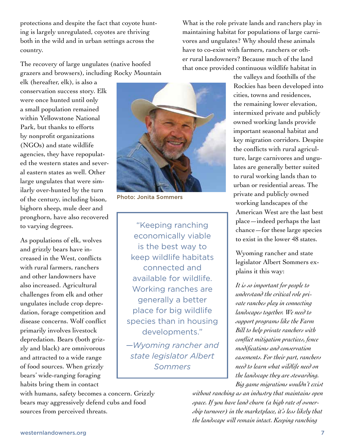protections and despite the fact that coyote hunting is largely unregulated, coyotes are thriving both in the wild and in urban settings across the country.

The recovery of large ungulates (native hoofed grazers and browsers), including Rocky Mountain

elk (hereafter, elk), is also a conservation success story. Elk were once hunted until only a small population remained within Yellowstone National Park, but thanks to efforts by nonprofit organizations (NGOs) and state wildlife agencies, they have repopulated the western states and several eastern states as well. Other large ungulates that were similarly over-hunted by the turn of the century, including bison, bighorn sheep, mule deer and pronghorn, have also recovered to varying degrees.

As populations of elk, wolves and grizzly bears have increased in the West, conflicts with rural farmers, ranchers and other landowners have also increased. Agricultural challenges from elk and other ungulates include crop depredation, forage competition and disease concerns. Wolf conflict primarily involves livestock depredation. Bears (both grizzly and black) are omnivorous and attracted to a wide range of food sources. When grizzly bears' wide-ranging foraging habits bring them in contact



**Photo: Jonita Sommers** 

"Keeping ranching economically viable is the best way to keep wildlife habitats connected and available for wildlife. Working ranches are generally a better place for big wildlife species than in housing developments." *—Wyoming rancher and state legislator Albert* 

*Sommers* 

with humans, safety becomes a concern. Grizzly bears may aggressively defend cubs and food sources from perceived threats.

What is the role private lands and ranchers play in maintaining habitat for populations of large carnivores and ungulates? Why should these animals have to co-exist with farmers, ranchers or other rural landowners? Because much of the land that once provided continuous wildlife habitat in

the valleys and foothills of the Rockies has been developed into cities, towns and residences, the remaining lower elevation, intermixed private and publicly owned working lands provide important seasonal habitat and key migration corridors. Despite the conflicts with rural agriculture, large carnivores and ungulates are generally better suited to rural working lands than to urban or residential areas. The private and publicly owned working landscapes of the American West are the last best place—indeed perhaps the last chance—for these large species to exist in the lower 48 states.

Wyoming rancher and state legislator Albert Sommers explains it this way:

*It is so important for people to understand the critical role private ranches play in connecting landscapes together. We need to support programs like the Farm Bill to help private ranchers with conflict mitigation practices, fence modifications and conservation easements. For their part, ranchers need to learn what wildlife need on the landscape they are stewarding. Big game migrations wouldn't exist* 

*without ranching as an industry that maintains open space. If you have land churn (a high rate of ownership turnover) in the marketplace, it's less likely that the landscape will remain intact. Keeping ranching*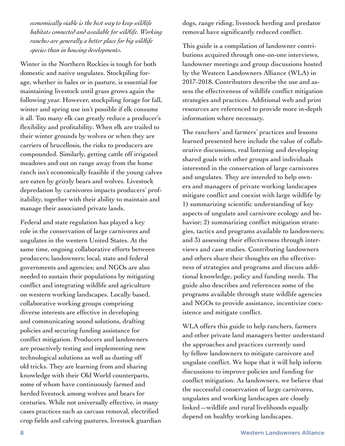*economically viable is the best way to keep wildlife habitats connected and available for wildlife. Working ranches are generally a better place for big wildlife species than in housing developments.*

Winter in the Northern Rockies is tough for both domestic and native ungulates. Stockpiling forage, whether in bales or in pasture, is essential for maintaining livestock until grass grows again the following year. However, stockpiling forage for fall, winter and spring use isn't possible if elk consume it all. Too many elk can greatly reduce a producer's flexibility and profitability. When elk are trailed to their winter grounds by wolves or when they are carriers of brucellosis, the risks to producers are compounded. Similarly, getting cattle off irrigated meadows and out on range away from the home ranch isn't economically feasible if the young calves are eaten by grizzly bears and wolves. Livestock depredation by carnivores impacts producers' profitability, together with their ability to maintain and manage their associated private lands.

Federal and state regulation has played a key role in the conservation of large carnivores and ungulates in the western United States. At the same time, ongoing collaborative efforts between producers; landowners; local, state and federal governments and agencies; and NGOs are also needed to sustain their populations by mitigating conflict and integrating wildlife and agriculture on western working landscapes. Locally based, collaborative working groups comprising diverse interests are effective in developing and communicating sound solutions, drafting policies and securing funding assistance for conflict mitigation. Producers and landowners are proactively testing and implementing new technological solutions as well as dusting off old tricks. They are learning from and sharing knowledge with their Old World counterparts, some of whom have continuously farmed and herded livestock among wolves and bears for centuries. While not universally effective, in many cases practices such as carcass removal, electrified crop fields and calving pastures, livestock guardian dogs, range riding, livestock herding and predator removal have significantly reduced conflict.

This guide is a compilation of landowner contributions acquired through one-on-one interviews, landowner meetings and group discussions hosted by the Western Landowners Alliance (WLA) in 2017-2018. Contributors describe the use and assess the effectiveness of wildlife conflict mitigation strategies and practices. Additional web and print resources are referenced to provide more in-depth information where necessary.

The ranchers' and farmers' practices and lessons learned presented here include the value of collaborative discussions, real listening and developing shared goals with other groups and individuals interested in the conservation of large carnivores and ungulates. They are intended to help owners and managers of private working landscapes mitigate conflict and coexist with large wildlife by 1) summarizing scientific understanding of key aspects of ungulate and carnivore ecology and behavior; 2) summarizing conflict mitigation strategies, tactics and programs available to landowners; and 3) assessing their effectiveness through interviews and case studies. Contributing landowners and others share their thoughts on the effectiveness of strategies and programs and discuss additional knowledge, policy and funding needs. The guide also describes and references some of the programs available through state wildlife agencies and NGOs to provide assistance, incentivize coexistence and mitigate conflict.

WLA offers this guide to help ranchers, farmers and other private land managers better understand the approaches and practices currently used by fellow landowners to mitigate carnivore and ungulate conflict. We hope that it will help inform discussions to improve policies and funding for conflict mitigation. As landowners, we believe that the successful conservation of large carnivores, ungulates and working landscapes are closely linked—wildlife and rural livelihoods equally depend on healthy working landscapes.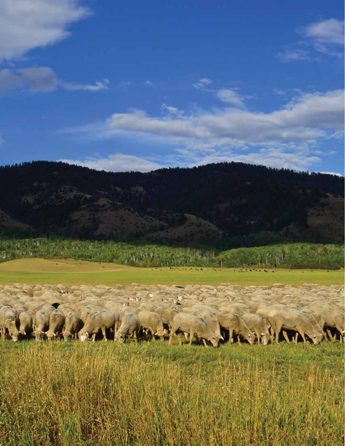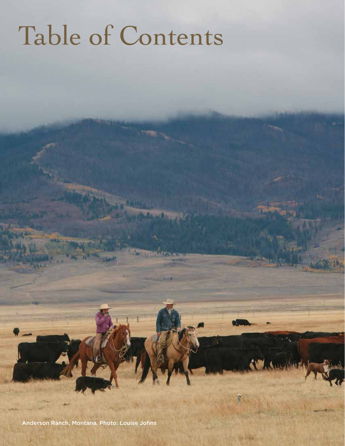# Table of Contents

Anderson Ranch, Montana. Photo: Louise Johns